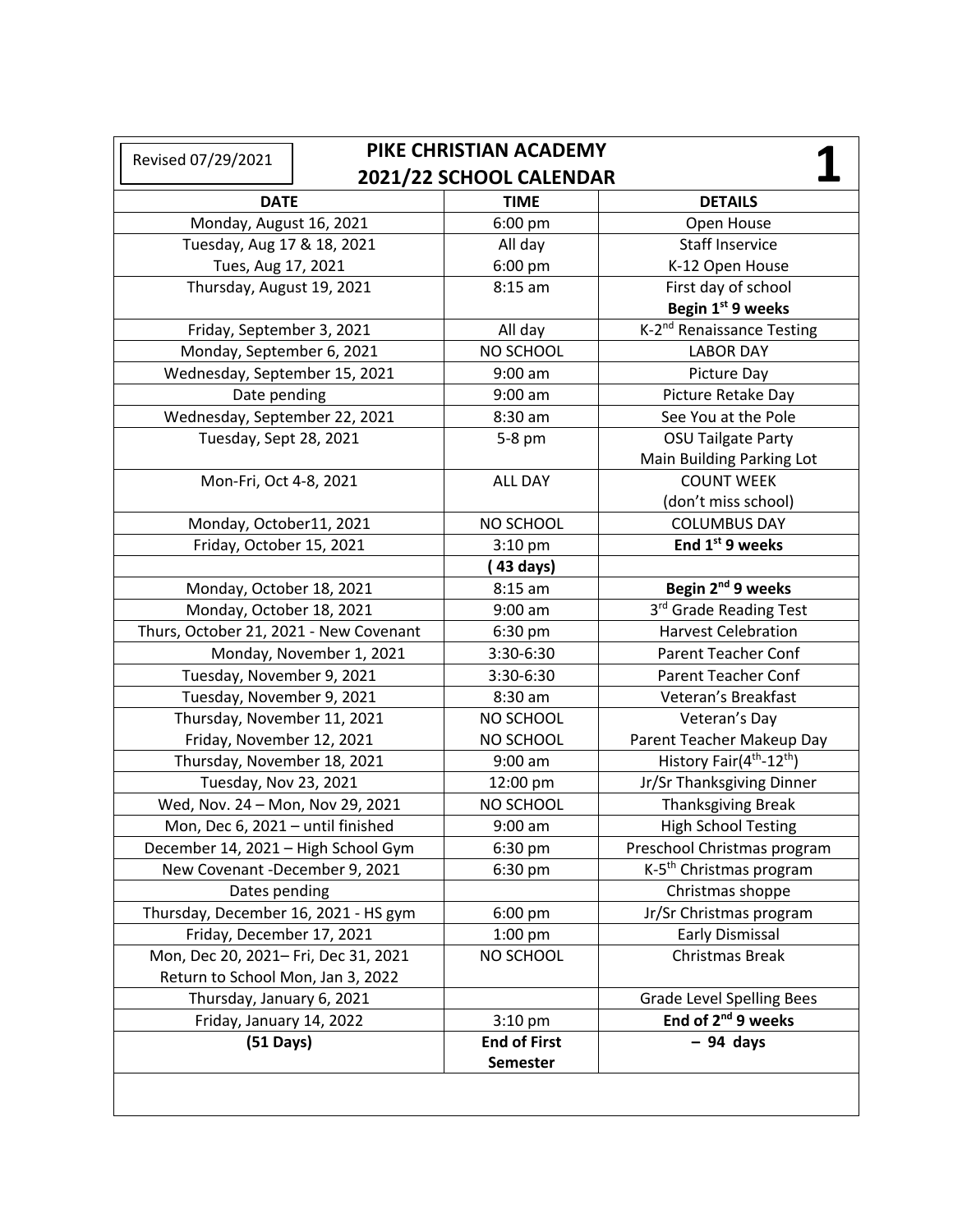| PIKE CHRISTIAN ACADEMY<br>Revised 07/29/2021 |  |                     |                                                  |
|----------------------------------------------|--|---------------------|--------------------------------------------------|
| 2021/22 SCHOOL CALENDAR                      |  |                     |                                                  |
| <b>DATE</b>                                  |  | <b>TIME</b>         | <b>DETAILS</b>                                   |
| Monday, August 16, 2021                      |  | 6:00 pm             | Open House                                       |
| Tuesday, Aug 17 & 18, 2021                   |  | All day             | <b>Staff Inservice</b>                           |
| Tues, Aug 17, 2021                           |  | 6:00 pm             | K-12 Open House                                  |
| Thursday, August 19, 2021                    |  | $8:15$ am           | First day of school                              |
|                                              |  |                     | Begin 1st 9 weeks                                |
| Friday, September 3, 2021                    |  | All day             | K-2 <sup>nd</sup> Renaissance Testing            |
| Monday, September 6, 2021                    |  | NO SCHOOL           | <b>LABOR DAY</b>                                 |
| Wednesday, September 15, 2021                |  | $9:00$ am           | Picture Day                                      |
| Date pending                                 |  | $9:00$ am           | Picture Retake Day                               |
| Wednesday, September 22, 2021                |  | 8:30 am             | See You at the Pole                              |
| Tuesday, Sept 28, 2021                       |  | 5-8 pm              | <b>OSU Tailgate Party</b>                        |
|                                              |  |                     | Main Building Parking Lot                        |
| Mon-Fri, Oct 4-8, 2021                       |  | ALL DAY             | <b>COUNT WEEK</b>                                |
|                                              |  |                     | (don't miss school)                              |
| Monday, October11, 2021                      |  | NO SCHOOL           | <b>COLUMBUS DAY</b>                              |
| Friday, October 15, 2021                     |  | $3:10$ pm           | End 1 <sup>st</sup> 9 weeks                      |
|                                              |  | (43 days)           |                                                  |
| Monday, October 18, 2021                     |  | $8:15$ am           | Begin 2 <sup>nd</sup> 9 weeks                    |
| Monday, October 18, 2021                     |  | $9:00$ am           | 3rd Grade Reading Test                           |
| Thurs, October 21, 2021 - New Covenant       |  | 6:30 pm             | <b>Harvest Celebration</b>                       |
| Monday, November 1, 2021                     |  | 3:30-6:30           | <b>Parent Teacher Conf</b>                       |
| Tuesday, November 9, 2021                    |  | 3:30-6:30           | <b>Parent Teacher Conf</b>                       |
| Tuesday, November 9, 2021                    |  | 8:30 am             | Veteran's Breakfast                              |
| Thursday, November 11, 2021                  |  | NO SCHOOL           | Veteran's Day                                    |
| Friday, November 12, 2021                    |  | NO SCHOOL           | Parent Teacher Makeup Day                        |
| Thursday, November 18, 2021                  |  | $9:00$ am           | History Fair(4 <sup>th</sup> -12 <sup>th</sup> ) |
| Tuesday, Nov 23, 2021                        |  | 12:00 pm            | Jr/Sr Thanksgiving Dinner                        |
| Wed, Nov. 24 - Mon, Nov 29, 2021             |  | NO SCHOOL           | <b>Thanksgiving Break</b>                        |
| Mon, Dec 6, 2021 - until finished            |  | $9:00$ am           | <b>High School Testing</b>                       |
| December 14, 2021 - High School Gym          |  | 6:30 pm             | Preschool Christmas program                      |
| New Covenant -December 9, 2021               |  | 6:30 pm             | K-5 <sup>th</sup> Christmas program              |
| Dates pending                                |  |                     | Christmas shoppe                                 |
| Thursday, December 16, 2021 - HS gym         |  | $6:00$ pm           | Jr/Sr Christmas program                          |
| Friday, December 17, 2021                    |  | 1:00 pm             | Early Dismissal                                  |
| Mon, Dec 20, 2021- Fri, Dec 31, 2021         |  | NO SCHOOL           | Christmas Break                                  |
| Return to School Mon, Jan 3, 2022            |  |                     |                                                  |
| Thursday, January 6, 2021                    |  |                     | <b>Grade Level Spelling Bees</b>                 |
| Friday, January 14, 2022                     |  | $3:10$ pm           | End of 2 <sup>nd</sup> 9 weeks                   |
| $(51$ Days)                                  |  | <b>End of First</b> | $-94$ days                                       |
|                                              |  | <b>Semester</b>     |                                                  |
|                                              |  |                     |                                                  |